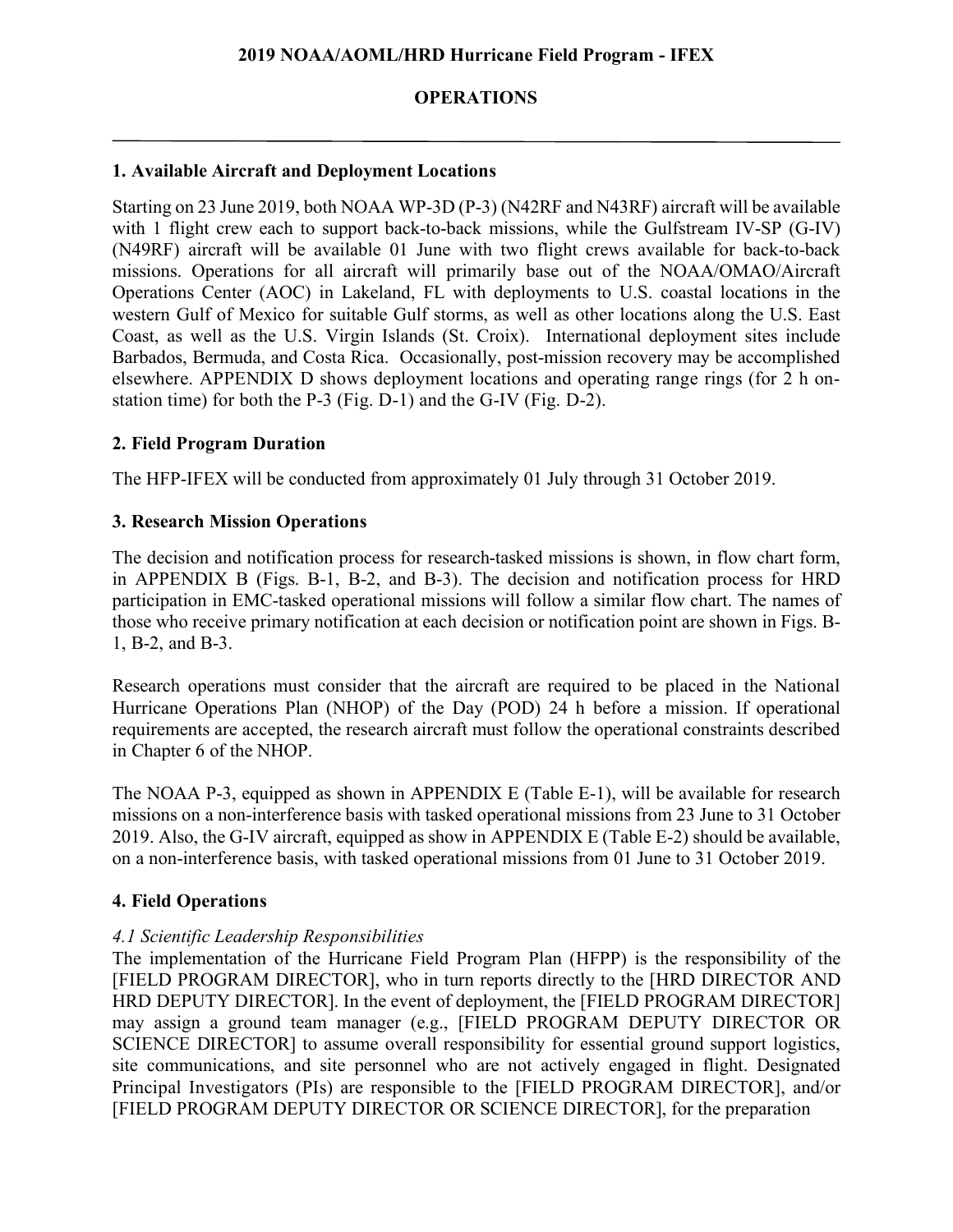# **OPERATIONS**

### **1. Available Aircraft and Deployment Locations**

Starting on 23 June 2019, both NOAA WP-3D (P-3) (N42RF and N43RF) aircraft will be available with 1 flight crew each to support back-to-back missions, while the Gulfstream IV-SP (G-IV) (N49RF) aircraft will be available 01 June with two flight crews available for back-to-back missions. Operations for all aircraft will primarily base out of the NOAA/OMAO/Aircraft Operations Center (AOC) in Lakeland, FL with deployments to U.S. coastal locations in the western Gulf of Mexico for suitable Gulf storms, as well as other locations along the U.S. East Coast, as well as the U.S. Virgin Islands (St. Croix). International deployment sites include Barbados, Bermuda, and Costa Rica. Occasionally, post-mission recovery may be accomplished elsewhere. APPENDIX D shows deployment locations and operating range rings (for 2 h onstation time) for both the P-3 (Fig. D-1) and the G-IV (Fig. D-2).

#### **2. Field Program Duration**

The HFP-IFEX will be conducted from approximately 01 July through 31 October 2019.

### **3. Research Mission Operations**

The decision and notification process for research-tasked missions is shown, in flow chart form, in APPENDIX B (Figs. B-1, B-2, and B-3). The decision and notification process for HRD participation in EMC-tasked operational missions will follow a similar flow chart. The names of those who receive primary notification at each decision or notification point are shown in Figs. B-1, B-2, and B-3.

Research operations must consider that the aircraft are required to be placed in the National Hurricane Operations Plan (NHOP) of the Day (POD) 24 h before a mission. If operational requirements are accepted, the research aircraft must follow the operational constraints described in Chapter 6 of the NHOP.

The NOAA P-3, equipped as shown in APPENDIX E (Table E-1), will be available for research missions on a non-interference basis with tasked operational missions from 23 June to 31 October 2019. Also, the G-IV aircraft, equipped as show in APPENDIX E (Table E-2) should be available, on a non-interference basis, with tasked operational missions from 01 June to 31 October 2019.

#### **4. Field Operations**

# *4.1 Scientific Leadership Responsibilities*

The implementation of the Hurricane Field Program Plan (HFPP) is the responsibility of the [FIELD PROGRAM DIRECTOR], who in turn reports directly to the [HRD DIRECTOR AND HRD DEPUTY DIRECTOR]. In the event of deployment, the [FIELD PROGRAM DIRECTOR] may assign a ground team manager (e.g., [FIELD PROGRAM DEPUTY DIRECTOR OR SCIENCE DIRECTOR] to assume overall responsibility for essential ground support logistics, site communications, and site personnel who are not actively engaged in flight. Designated Principal Investigators (PIs) are responsible to the [FIELD PROGRAM DIRECTOR], and/or [FIELD PROGRAM DEPUTY DIRECTOR OR SCIENCE DIRECTOR], for the preparation